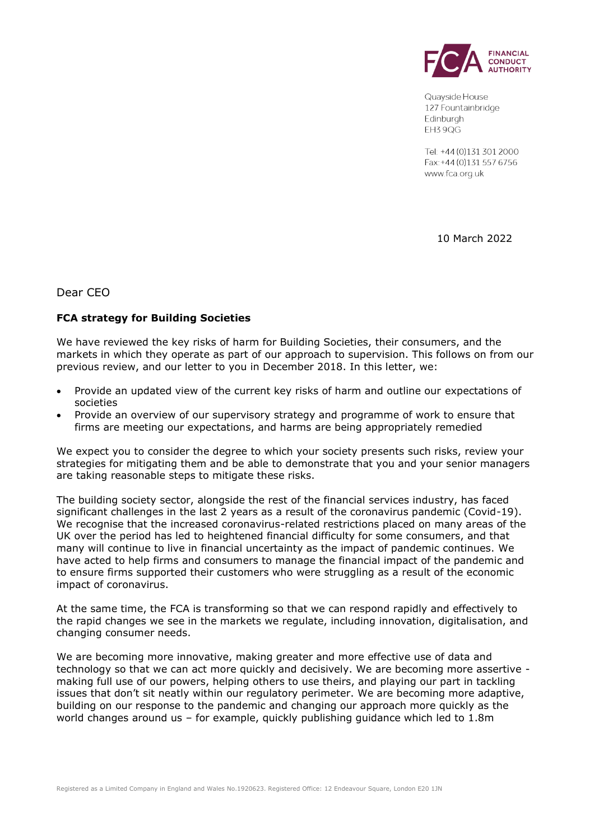

Quayside House 127 Fountainbridge Edinburgh EH3 9QG

Tel: +44 (0)131 301 2000 Fax: +44 (0)131 557 6756 www.fca.org.uk

10 March 2022

Dear CEO

## **FCA strategy for Building Societies**

We have reviewed the key risks of harm for Building Societies, their consumers, and the markets in which they operate as part of our approach to supervision. This follows on from our previous review, and our letter to you in December 2018. In this letter, we:

- Provide an updated view of the current key risks of harm and outline our expectations of societies
- Provide an overview of our supervisory strategy and programme of work to ensure that firms are meeting our expectations, and harms are being appropriately remedied

We expect you to consider the degree to which your society presents such risks, review your strategies for mitigating them and be able to demonstrate that you and your senior managers are taking reasonable steps to mitigate these risks.

The building society sector, alongside the rest of the financial services industry, has faced significant challenges in the last 2 years as a result of the coronavirus pandemic (Covid-19). We recognise that the increased coronavirus-related restrictions placed on many areas of the UK over the period has led to heightened financial difficulty for some consumers, and that many will continue to live in financial uncertainty as the impact of pandemic continues. We have acted to help firms and consumers to manage the financial impact of the pandemic and to ensure firms supported their customers who were struggling as a result of the economic impact of coronavirus.

At the same time, the FCA is transforming so that we can respond rapidly and effectively to the rapid changes we see in the markets we regulate, including innovation, digitalisation, and changing consumer needs.

We are becoming more innovative, making greater and more effective use of data and technology so that we can act more quickly and decisively. We are becoming more assertive making full use of our powers, helping others to use theirs, and playing our part in tackling issues that don't sit neatly within our regulatory perimeter. We are becoming more adaptive, building on our response to the pandemic and changing our approach more quickly as the world changes around us – for example, quickly publishing guidance which led to 1.8m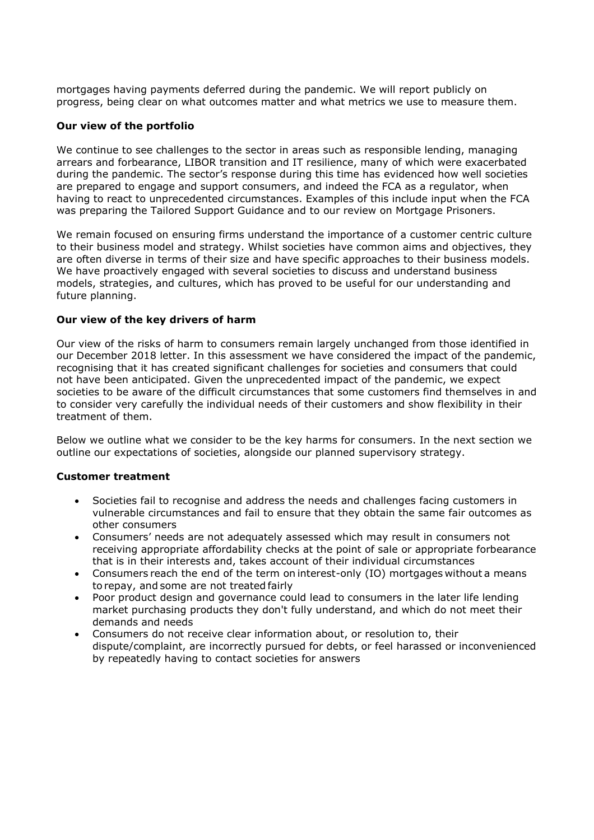mortgages having payments deferred during the pandemic. We will report publicly on progress, being clear on what outcomes matter and what metrics we use to measure them. 

### **Our view of the portfolio**

We continue to see challenges to the sector in areas such as responsible lending, managing arrears and forbearance, LIBOR transition and IT resilience, many of which were exacerbated during the pandemic. The sector's response during this time has evidenced how well societies are prepared to engage and support consumers, and indeed the FCA as a regulator, when having to react to unprecedented circumstances. Examples of this include input when the FCA was preparing the Tailored Support Guidance and to our review on Mortgage Prisoners.

We remain focused on ensuring firms understand the importance of a customer centric culture to their business model and strategy. Whilst societies have common aims and objectives, they are often diverse in terms of their size and have specific approaches to their business models. We have proactively engaged with several societies to discuss and understand business models, strategies, and cultures, which has proved to be useful for our understanding and future planning.

### **Our view of the key drivers of harm**

Our view of the risks of harm to consumers remain largely unchanged from those identified in our December 2018 letter. In this assessment we have considered the impact of the pandemic, recognising that it has created significant challenges for societies and consumers that could not have been anticipated. Given the unprecedented impact of the pandemic, we expect societies to be aware of the difficult circumstances that some customers find themselves in and to consider very carefully the individual needs of their customers and show flexibility in their treatment of them.

Below we outline what we consider to be the key harms for consumers. In the next section we outline our expectations of societies, alongside our planned supervisory strategy.

#### **Customer treatment**

- Societies fail to recognise and address the needs and challenges facing customers in vulnerable circumstances and fail to ensure that they obtain the same fair outcomes as other consumers
- Consumers' needs are not adequately assessed which may result in consumers not receiving appropriate affordability checks at the point of sale or appropriate forbearance that is in their interests and, takes account of their individual circumstances
- Consumers reach the end of the term on interest-only (IO) mortgages without a means to repay, and some are not treated fairly
- Poor product design and governance could lead to consumers in the later life lending market purchasing products they don't fully understand, and which do not meet their demands and needs
- Consumers do not receive clear information about, or resolution to, their dispute/complaint, are incorrectly pursued for debts, or feel harassed or inconvenienced by repeatedly having to contact societies for answers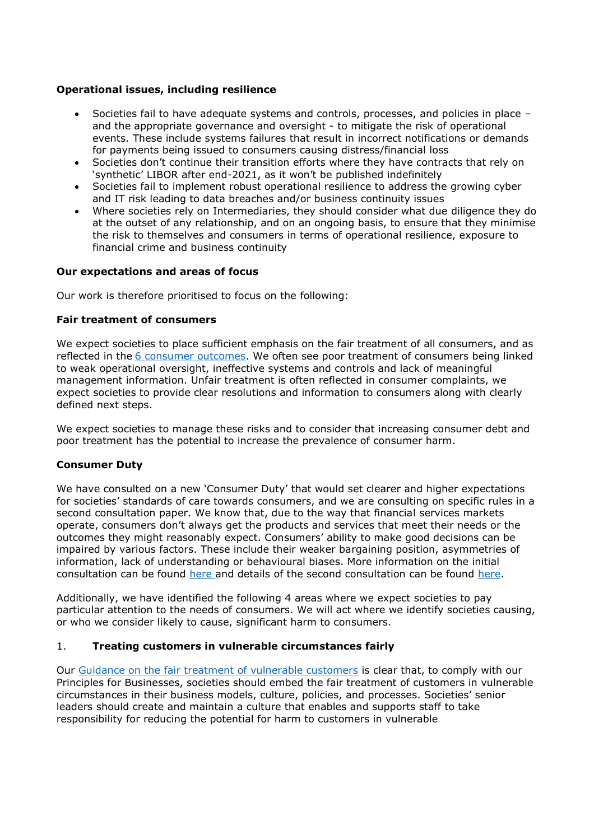## **Operational issues, including resilience**

- Societies fail to have adequate systems and controls, processes, and policies in place and the appropriate governance and oversight - to mitigate the risk of operational events. These include systems failures that result in incorrect notifications or demands for payments being issued to consumers causing distress/financial loss
- Societies don't continue their transition efforts where they have contracts that rely on 'synthetic' LIBOR after end-2021, as it won't be published indefinitely
- Societies fail to implement robust operational resilience to address the growing cyber and IT risk leading to data breaches and/or business continuity issues
- Where societies rely on Intermediaries, they should consider what due diligence they do at the outset of any relationship, and on an ongoing basis, to ensure that they minimise the risk to themselves and consumers in terms of operational resilience, exposure to financial crime and business continuity

#### **Our expectations and areas of focus**

Our work is therefore prioritised to focus on the following:

### **Fair treatment of consumers**

We expect societies to place sufficient emphasis on the fair treatment of all consumers, and as reflected in the [6 consumer outcomes.](https://www.fca.org.uk/firms/fair-treatment-customers) We often see poor treatment of consumers being linked to weak operational oversight, ineffective systems and controls and lack of meaningful management information. Unfair treatment is often reflected in consumer complaints, we expect societies to provide clear resolutions and information to consumers along with clearly defined next steps.

We expect societies to manage these risks and to consider that increasing consumer debt and poor treatment has the potential to increase the prevalence of consumer harm.

#### **Consumer Duty**

We have consulted on a new 'Consumer Duty' that would set clearer and higher expectations for societies' standards of care towards consumers, and we are consulting on specific rules in a second consultation paper. We know that, due to the way that financial services markets operate, consumers don't always get the products and services that meet their needs or the outcomes they might reasonably expect. Consumers' ability to make good decisions can be impaired by various factors. These include their weaker bargaining position, asymmetries of information, lack of understanding or behavioural biases. More information on the initial consultation can be found [here](https://www.fca.org.uk/publications/consultation-papers/cp21-13-new-consumer-duty) and details of the second consultation can be found [here.](https://www.fca.org.uk/publications/consultation-papers/cp21-36-new-consumer-duty-feedback-cp21-13-further-consultation)

Additionally, we have identified the following 4 areas where we expect societies to pay particular attention to the needs of consumers. We will act where we identify societies causing, or who we consider likely to cause, significant harm to consumers.

#### 1. **Treating customers in vulnerable circumstances fairly**

Our [Guidance on the fair treatment of vulnerable customers](https://www.fca.org.uk/publication/finalised-guidance/fg21-1.pdf) is clear that, to comply with our Principles for Businesses, societies should embed the fair treatment of customers in vulnerable circumstances in their business models, culture, policies, and processes. Societies' senior leaders should create and maintain a culture that enables and supports staff to take responsibility for reducing the potential for harm to customers in vulnerable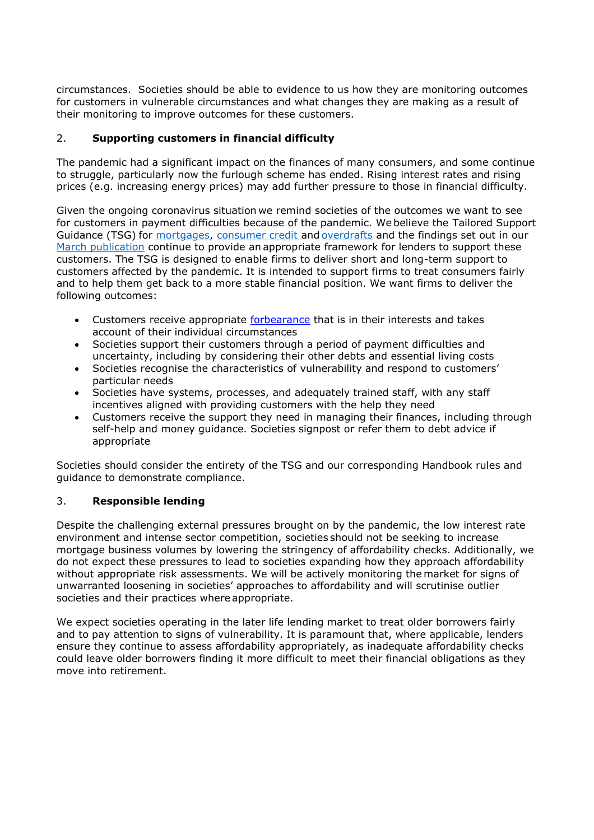circumstances. Societies should be able to evidence to us how they are monitoring outcomes for customers in vulnerable circumstances and what changes they are making as a result of their monitoring to improve outcomes for these customers.

# 2. **Supporting customers in financial difficulty**

The pandemic had a significant impact on the finances of many consumers, and some continue to struggle, particularly now the furlough scheme has ended. Rising interest rates and rising prices (e.g. increasing energy prices) may add further pressure to those in financial difficulty.

Given the ongoing coronavirus situation we remind societies of the outcomes we want to see for customers in payment difficulties because of the pandemic. We believe the Tailored Support Guidance (TSG) for [mortgages,](https://www.fca.org.uk/publication/finalised-guidance/mortgages-and-coronavirus-tailored-support-guidance.pdf) [consumer credit](https://www.fca.org.uk/publication/finalised-guidance/consumer-credit-coronavirus-tailored-support-guidance-jan-2021.pdf) and [overdrafts](https://www.fca.org.uk/publication/finalised-guidance/finalised-guidance-overdrafts-coronavirus-additional-guidance-firms.pdf) and the findings set out in our [March publication](https://www.fca.org.uk/publications/multi-firm-reviews/coronavirus-linked-forbearance-key-findings) continue to provide an appropriate framework for lenders to support these customers. The TSG is designed to enable firms to deliver short and long-term support to customers affected by the pandemic. It is intended to support firms to treat consumers fairly and to help them get back to a more stable financial position. We want firms to deliver the following outcomes:  

- Customers receive appropriate [forbearance](https://www.fca.org.uk/firms/borrowers-financial-difficulty-project) that is in their interests and takes account of their individual circumstances
- Societies support their customers through a period of payment difficulties and uncertainty, including by considering their other debts and essential living costs
- Societies recognise the characteristics of vulnerability and respond to customers' particular needs
- Societies have systems, processes, and adequately trained staff, with any staff incentives aligned with providing customers with the help they need
- Customers receive the support they need in managing their finances, including through self-help and money guidance. Societies signpost or refer them to debt advice if appropriate

Societies should consider the entirety of the TSG and our corresponding Handbook rules and guidance to demonstrate compliance.

## 3. **Responsible lending**

Despite the challenging external pressures brought on by the pandemic, the low interest rate environment and intense sector competition, societies should not be seeking to increase mortgage business volumes by lowering the stringency of affordability checks. Additionally, we do not expect these pressures to lead to societies expanding how they approach affordability without appropriate risk assessments. We will be actively monitoring the market for signs of unwarranted loosening in societies' approaches to affordability and will scrutinise outlier societies and their practices where appropriate.

We expect societies operating in the later life lending market to treat older borrowers fairly and to pay attention to signs of vulnerability. It is paramount that, where applicable, lenders ensure they continue to assess affordability appropriately, as inadequate affordability checks could leave older borrowers finding it more difficult to meet their financial obligations as they move into retirement.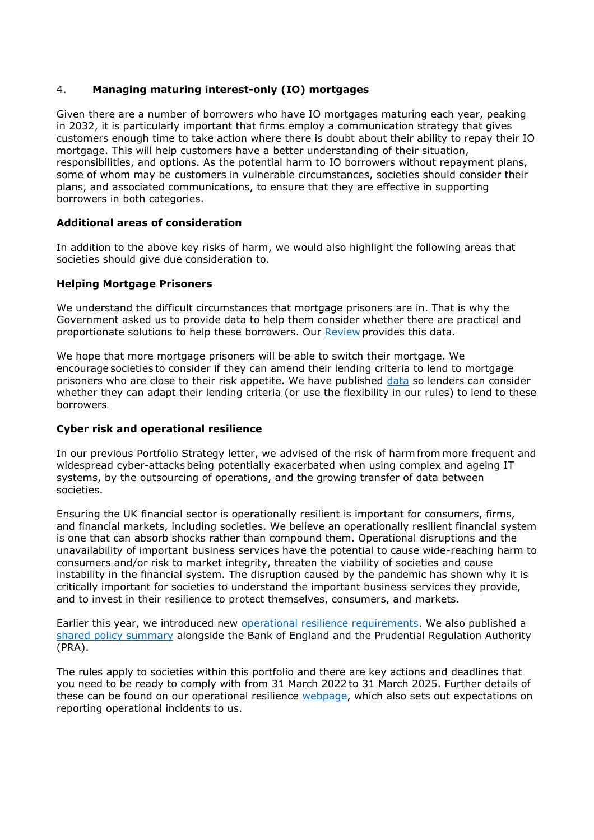## 4. **Managing maturing interest-only (IO) mortgages**

Given there are a number of borrowers who have IO mortgages maturing each year, peaking in 2032, it is particularly important that firms employ a communication strategy that gives customers enough time to take action where there is doubt about their ability to repay their IO mortgage. This will help customers have a better understanding of their situation, responsibilities, and options. As the potential harm to IO borrowers without repayment plans, some of whom may be customers in vulnerable circumstances, societies should consider their plans, and associated communications, to ensure that they are effective in supporting borrowers in both categories.

### **Additional areas of consideration**

In addition to the above key risks of harm, we would also highlight the following areas that societies should give due consideration to.

### **Helping Mortgage Prisoners**

We understand the difficult circumstances that mortgage prisoners are in. That is why the Government asked us to provide data to help them consider whether there are practical and proportionate solutions to help these borrowers. Our [Review](https://www.fca.org.uk/news/news-stories/mortgage-prisoner-review) provides this data.  

We hope that more mortgage prisoners will be able to switch their mortgage. We encourage societies to consider if they can amend their lending criteria to lend to mortgage prisoners who are close to their risk appetite. We have published [data](https://www.fca.org.uk/publication/data/annex-1-closed-book-mortgages-segmentation-analysis-final-%28protected%29.xlsm) so lenders can consider whether they can adapt their lending criteria (or use the flexibility in our rules) to lend to these borrowers.

#### **Cyber risk and operational resilience**

In our previous Portfolio Strategy letter, we advised of the risk of harm from more frequent and widespread cyber-attacks being potentially exacerbated when using complex and ageing IT systems, by the outsourcing of operations, and the growing transfer of data between societies.

Ensuring the UK financial sector is operationally resilient is important for consumers, firms, and financial markets, including societies. We believe an operationally resilient financial system is one that can absorb shocks rather than compound them. Operational disruptions and the unavailability of important business services have the potential to cause wide-reaching harm to consumers and/or risk to market integrity, threaten the viability of societies and cause instability in the financial system. The disruption caused by the pandemic has shown why it is critically important for societies to understand the important business services they provide, and to invest in their resilience to protect themselves, consumers, and markets.

Earlier this year, we introduced new [operational resilience requirements.](https://www.fca.org.uk/publication/policy/ps21-3-operational-resilience.pdf) We also published a [shared policy summary](https://www.bankofengland.co.uk/-/media/boe/files/prudential-regulation/consultation-paper/2019/building-operational-resilience-impact-tolerances-for-important-business-services.pdf) alongside the Bank of England and the Prudential Regulation Authority (PRA).

The rules apply to societies within this portfolio and there are key actions and deadlines that you need to be ready to comply with from 31 March 2022 to 31 March 2025. Further details of these can be found on our operational resilience [webpage,](https://www.fca.org.uk/firms/operational-resilience) which also sets out expectations on reporting operational incidents to us.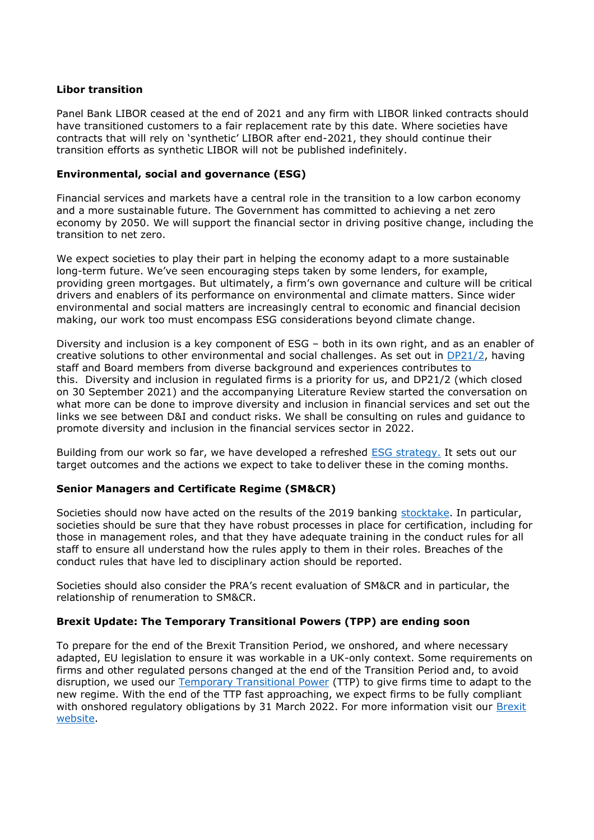### **Libor transition**

Panel Bank LIBOR ceased at the end of 2021 and any firm with LIBOR linked contracts should have transitioned customers to a fair replacement rate by this date. Where societies have contracts that will rely on 'synthetic' LIBOR after end-2021, they should continue their transition efforts as synthetic LIBOR will not be published indefinitely.

## **Environmental, social and governance (ESG)**

Financial services and markets have a central role in the transition to a low carbon economy and a more sustainable future. The Government has committed to achieving a net zero economy by 2050. We will support the financial sector in driving positive change, including the transition to net zero.

We expect societies to play their part in helping the economy adapt to a more sustainable long-term future. We've seen encouraging steps taken by some lenders, for example, providing green mortgages. But ultimately, a firm's own governance and culture will be critical drivers and enablers of its performance on environmental and climate matters. Since wider environmental and social matters are increasingly central to economic and financial decision making, our work too must encompass ESG considerations beyond climate change.

Diversity and inclusion is a key component of ESG – both in its own right, and as an enabler of creative solutions to other environmental and social challenges. As set out in [DP21/2,](https://www.fca.org.uk/publication/discussion/dp21-2.pdf) having staff and Board members from diverse background and experiences contributes to this. Diversity and inclusion in regulated firms is a priority for us, and DP21/2 (which closed on 30 September 2021) and the accompanying Literature Review started the conversation on what more can be done to improve diversity and inclusion in financial services and set out the links we see between D&I and conduct risks. We shall be consulting on rules and guidance to promote diversity and inclusion in the financial services sector in 2022.

Building from our work so far, we have developed a refreshed [ESG strategy.](https://www.fca.org.uk/publications/corporate-documents/strategy-positive-change-our-esg-priorities) It sets out our target outcomes and the actions we expect to take to deliver these in the coming months.

## **Senior Managers and Certificate Regime (SM&CR)**

Societies should now have acted on the results of the 2019 banking [stocktake.](https://www.fca.org.uk/publications/multi-firm-reviews/senior-managers-and-certification-regime-banking-stocktake-report) In particular, societies should be sure that they have robust processes in place for certification, including for those in management roles, and that they have adequate training in the conduct rules for all staff to ensure all understand how the rules apply to them in their roles. Breaches of the conduct rules that have led to disciplinary action should be reported.

Societies should also consider the PRA's recent evaluation of SM&CR and in particular, the relationship of renumeration to SM&CR.

#### **Brexit Update: The Temporary Transitional Powers (TPP) are ending soon**

To prepare for the end of the Brexit Transition Period, we onshored, and where necessary adapted, EU legislation to ensure it was workable in a UK-only context. Some requirements on firms and other regulated persons changed at the end of the Transition Period and, to avoid disruption, we used our [Temporary Transitional Power](https://www.fca.org.uk/brexit/onshoring-temporary-transitional-power-ttp) (TTP) to give firms time to adapt to the new regime. With the end of the TTP fast approaching, we expect firms to be fully compliant with onshored regulatory obligations by 31 March 2022. For more information visit our Brexit [website.](https://www.fca.org.uk/brexit)